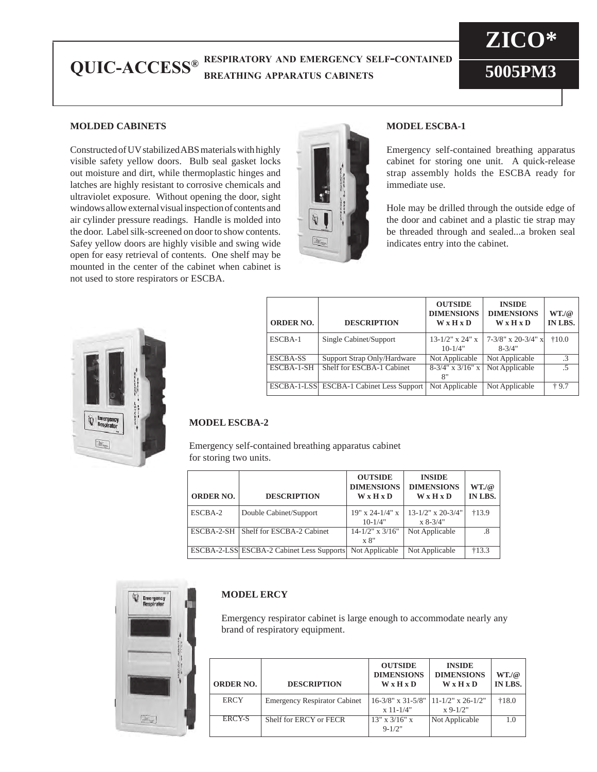# **QUIC-ACCESS <sup><b>RESPIRATORY** AND EMERGENCY SELF-CONTAINED **5005PM3**</sup> **breathing apparatus cabinets**

**ZICO** 

# **MOLDED CABINETS**

Constructed of UV stabilized ABS materials with highly visible safety yellow doors. Bulb seal gasket locks out moisture and dirt, while thermoplastic hinges and latches are highly resistant to corrosive chemicals and ultraviolet exposure. Without opening the door, sight windows allow external visual inspection of contents and air cylinder pressure readings. Handle is molded into the door. Label silk-screened on door to show contents. Safey yellow doors are highly visible and swing wide open for easy retrieval of contents. One shelf may be mounted in the center of the cabinet when cabinet is not used to store respirators or ESCBA.



### **MODEL ESCBA-1**

Emergency self-contained breathing apparatus cabinet for storing one unit. A quick-release strap assembly holds the ESCBA ready for immediate use.

Hole may be drilled through the outside edge of the door and cabinet and a plastic tie strap may be threaded through and sealed...a broken seal indicates entry into the cabinet.



| <b>ORDER NO.</b> | <b>DESCRIPTION</b>                       | <b>OUTSIDE</b><br><b>DIMENSIONS</b><br><b>W</b> x H x D | <b>INSIDE</b><br><b>DIMENSIONS</b><br>$W \times H \times D$ | WT/a<br>IN LBS. |
|------------------|------------------------------------------|---------------------------------------------------------|-------------------------------------------------------------|-----------------|
| ESCBA-1          | Single Cabinet/Support                   | 13-1/2" $x$ 24" $x$<br>$10 - 1/4"$                      | $7-3/8$ " x 20-3/4" x<br>$8 - 3/4"$                         | $+10.0$         |
| <b>ESCBA-SS</b>  | Support Strap Only/Hardware              | Not Applicable                                          | Not Applicable                                              | $\cdot$ 3       |
| ESCBA-1-SH       | Shelf for ESCBA-1 Cabinet                | $8-3/4$ " x $3/16$ " x<br>8"                            | Not Applicable                                              | $\sim$          |
|                  | ESCBA-1-LSS ESCBA-1 Cabinet Less Support | Not Applicable                                          | Not Applicable                                              | $+9.7$          |

## **MODEL ESCBA-2**

Emergency self-contained breathing apparatus cabinet for storing two units.

| <b>ORDER NO.</b> | <b>DESCRIPTION</b>                        | <b>OUTSIDE</b><br><b>DIMENSIONS</b><br><b>W</b> x H x D | <b>INSIDE</b><br><b>DIMENSIONS</b><br>$W \times H \times D$ | WT./@<br>IN LBS. |
|------------------|-------------------------------------------|---------------------------------------------------------|-------------------------------------------------------------|------------------|
| ESCBA-2          | Double Cabinet/Support                    | $19''$ x 24-1/4" x<br>$10 - 1/4"$                       | $13 - 1/2$ " x 20-3/4"<br>$x 8-3/4"$                        | $+13.9$          |
| ESCBA-2-SH       | Shelf for ESCBA-2 Cabinet                 | $14 - 1/2$ " x $3/16$ "<br>x 8"                         | Not Applicable                                              | .8               |
|                  | ESCBA-2-LSS ESCBA-2 Cabinet Less Supports | Not Applicable                                          | Not Applicable                                              | $+13.3$          |



# **MODEL ERCY**

Emergency respirator cabinet is large enough to accommodate nearly any brand of respiratory equipment.

| <b>ORDER NO.</b> | <b>DESCRIPTION</b>                  | <b>OUTSIDE</b><br><b>DIMENSIONS</b><br><b>W</b> x <b>H</b> x <b>D</b> | <b>INSIDE</b><br><b>DIMENSIONS</b><br><b>W</b> x <b>H</b> x <b>D</b> | WT/a<br>IN LBS. |
|------------------|-------------------------------------|-----------------------------------------------------------------------|----------------------------------------------------------------------|-----------------|
| <b>ERCY</b>      | <b>Emergency Respirator Cabinet</b> | $16-3/8$ " x 31-5/8"                                                  | $11 - 1/2$ " x 26-1/2"                                               | $+18.0$         |
|                  |                                     | $x 11 - 1/4$ "                                                        | $x 9-1/2"$                                                           |                 |
| ERCY-S           | Shelf for ERCY or FECR              | $13"$ x $3/16"$ x                                                     | Not Applicable                                                       | 1.0             |
|                  |                                     | $9 - 1/2"$                                                            |                                                                      |                 |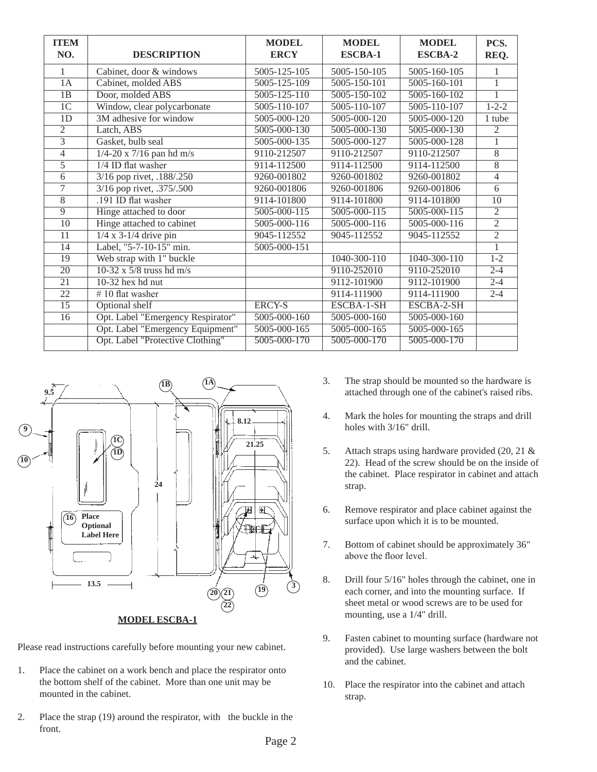| <b>ITEM</b><br>NO. | <b>DESCRIPTION</b>                | <b>MODEL</b><br><b>ERCY</b> | <b>MODEL</b><br><b>ESCBA-1</b> | <b>MODEL</b><br><b>ESCBA-2</b> | PCS.<br>REQ.    |
|--------------------|-----------------------------------|-----------------------------|--------------------------------|--------------------------------|-----------------|
| 1                  | Cabinet, door & windows           | 5005-125-105                | 5005-150-105                   | 5005-160-105                   | 1               |
| 1A                 | Cabinet, molded ABS               | 5005-125-109                | 5005-150-101                   | $5005 - 160 - 101$             | $\mathbf{1}$    |
| 1B                 | Door, molded ABS                  | $5005 - 125 - 110$          | $5005 - 150 - 102$             | $5005 - 160 - 102$             | 1               |
| 1 <sup>C</sup>     | Window, clear polycarbonate       | 5005-110-107                | 5005-110-107                   | 5005-110-107                   | $1 - 2 - 2$     |
| 1 <sub>D</sub>     | 3M adhesive for window            | 5005-000-120                | 5005-000-120                   | 5005-000-120                   | 1 tube          |
| $\overline{2}$     | Latch, ABS                        | $5005 - 000 - 130$          | $5005 - 000 - 130$             | $5005 - 000 - 130$             | $\overline{2}$  |
| $\overline{3}$     | Gasket, bulb seal                 | 5005-000-135                | 5005-000-127                   | 5005-000-128                   | 1               |
| 4                  | $1/4 - 20 \times 7/16$ pan hd m/s | 9110-212507                 | 9110-212507                    | 9110-212507                    | $\overline{8}$  |
| $\overline{5}$     | 1/4 ID flat washer                | 9114-112500                 | 9114-112500                    | 9114-112500                    | $\overline{8}$  |
| 6                  | 3/16 pop rivet, .188/.250         | 9260-001802                 | 9260-001802                    | 9260-001802                    | $\overline{4}$  |
| $\overline{7}$     | 3/16 pop rivet, .375/.500         | 9260-001806                 | 9260-001806                    | 9260-001806                    | 6               |
| $\overline{8}$     | 191 ID flat washer                | 9114-101800                 | 9114-101800                    | 9114-101800                    | $\overline{10}$ |
| $\overline{9}$     | Hinge attached to door            | 5005-000-115                | 5005-000-115                   | 5005-000-115                   | $\overline{2}$  |
| $\overline{10}$    | Hinge attached to cabinet         | 5005-000-116                | 5005-000-116                   | 5005-000-116                   | $\overline{2}$  |
| 11                 | $\frac{1}{4}$ x 3-1/4 drive pin   | 9045-112552                 | 9045-112552                    | 9045-112552                    | $\overline{2}$  |
| $\overline{14}$    | Label, "5-7-10-15" min.           | 5005-000-151                |                                |                                | 1               |
| $\overline{19}$    | Web strap with 1" buckle          |                             | 1040-300-110                   | 1040-300-110                   | $1 - 2$         |
| $\overline{20}$    | $10-32 \times 5/8$ truss hd m/s   |                             | 9110-252010                    | 9110-252010                    | $2 - 4$         |
| $\overline{21}$    | 10-32 hex hd nut                  |                             | 9112-101900                    | 9112-101900                    | $2 - 4$         |
| $\overline{22}$    | $# 10$ flat washer                |                             | 9114-111900                    | 9114-111900                    | $2 - 4$         |
| $\overline{15}$    | Optional shelf                    | <b>ERCY-S</b>               | ESCBA-1-SH                     | ESCBA-2-SH                     |                 |
| 16                 | Opt. Label "Emergency Respirator" | $5005 - 000 - 160$          | $5005 - 000 - 160$             | 5005-000-160                   |                 |
|                    | Opt. Label "Emergency Equipment"  | 5005-000-165                | 5005-000-165                   | 5005-000-165                   |                 |
|                    | Opt. Label "Protective Clothing"  | 5005-000-170                | 5005-000-170                   | 5005-000-170                   |                 |



Please read instructions carefully before mounting your new cabinet.

- 1. Place the cabinet on a work bench and place the respirator onto the bottom shelf of the cabinet. More than one unit may be mounted in the cabinet.
- 2. Place the strap (19) around the respirator, with the buckle in the front.
- 3. The strap should be mounted so the hardware is attached through one of the cabinet's raised ribs.
- 4. Mark the holes for mounting the straps and drill holes with 3/16" drill.
- 5. Attach straps using hardware provided (20, 21 & 22). Head of the screw should be on the inside of the cabinet. Place respirator in cabinet and attach strap.
- 6. Remove respirator and place cabinet against the surface upon which it is to be mounted.
- 7. Bottom of cabinet should be approximately 36" above the floor level.
- 8. Drill four 5/16" holes through the cabinet, one in each corner, and into the mounting surface. If sheet metal or wood screws are to be used for mounting, use a 1/4" drill.
- 9. Fasten cabinet to mounting surface (hardware not provided). Use large washers between the bolt and the cabinet.
- 10. Place the respirator into the cabinet and attach strap.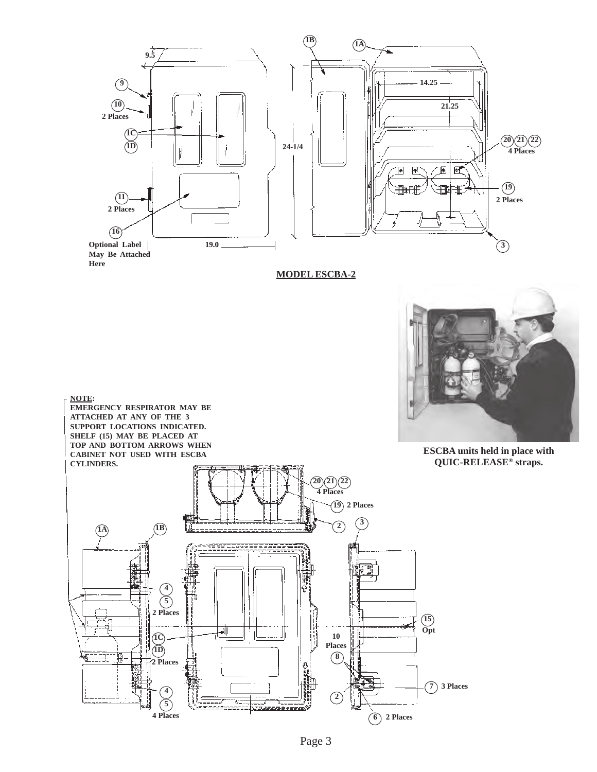

**MODEL ESCBA-2**



**ESCBA units held in place with QUIC-RELEASE® straps.**



**NOTE:**

**EMERGENCY RESPIRATOR MAY BE ATTACHED AT ANY OF THE 3**